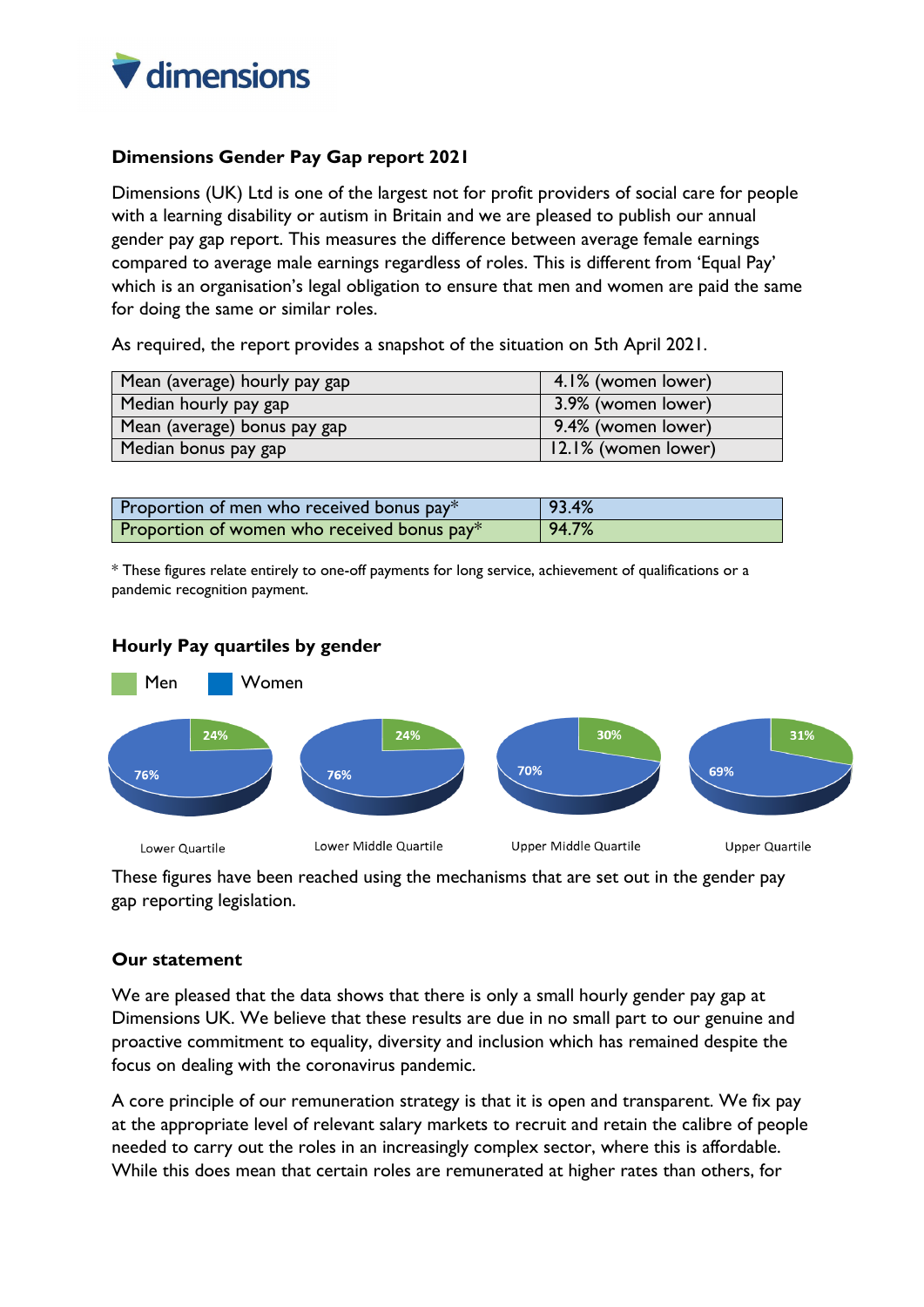

## **Dimensions Gender Pay Gap report 2021**

Dimensions (UK) Ltd is one of the largest not for profit providers of social care for people with a learning disability or autism in Britain and we are pleased to publish our annual gender pay gap report. This measures the difference between average female earnings compared to average male earnings regardless of roles. This is different from 'Equal Pay' which is an organisation's legal obligation to ensure that men and women are paid the same for doing the same or similar roles.

As required, the report provides a snapshot of the situation on 5th April 2021.

| Mean (average) hourly pay gap | 4.1% (women lower)  |
|-------------------------------|---------------------|
| Median hourly pay gap         | 3.9% (women lower)  |
| Mean (average) bonus pay gap  | 9.4% (women lower)  |
| Median bonus pay gap          | 12.1% (women lower) |

| Proportion of men who received bonus $pay*$ | 93.4% |
|---------------------------------------------|-------|
| Proportion of women who received bonus pay* | 94.7% |

\* These figures relate entirely to one-off payments for long service, achievement of qualifications or a pandemic recognition payment.



## **Hourly Pay quartiles by gender**

These figures have been reached using the mechanisms that are set out in the gender pay gap reporting legislation.

## **Our statement**

We are pleased that the data shows that there is only a small hourly gender pay gap at Dimensions UK. We believe that these results are due in no small part to our genuine and proactive commitment to equality, diversity and inclusion which has remained despite the focus on dealing with the coronavirus pandemic.

A core principle of our remuneration strategy is that it is open and transparent. We fix pay at the appropriate level of relevant salary markets to recruit and retain the calibre of people needed to carry out the roles in an increasingly complex sector, where this is affordable. While this does mean that certain roles are remunerated at higher rates than others, for